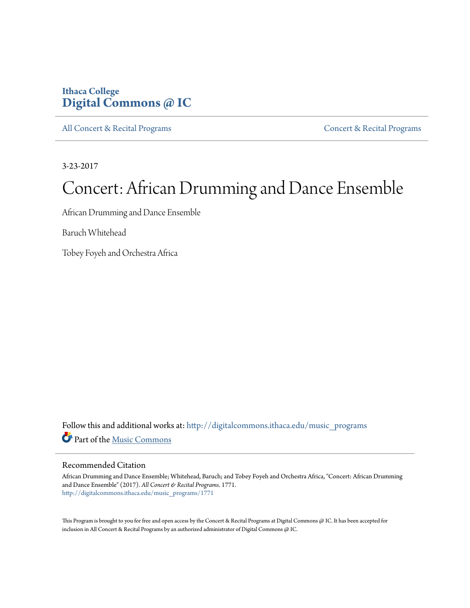## **Ithaca College [Digital Commons @ IC](http://digitalcommons.ithaca.edu?utm_source=digitalcommons.ithaca.edu%2Fmusic_programs%2F1771&utm_medium=PDF&utm_campaign=PDFCoverPages)**

[All Concert & Recital Programs](http://digitalcommons.ithaca.edu/music_programs?utm_source=digitalcommons.ithaca.edu%2Fmusic_programs%2F1771&utm_medium=PDF&utm_campaign=PDFCoverPages) **[Concert & Recital Programs](http://digitalcommons.ithaca.edu/som_programs?utm_source=digitalcommons.ithaca.edu%2Fmusic_programs%2F1771&utm_medium=PDF&utm_campaign=PDFCoverPages)** Concert & Recital Programs

3-23-2017

# Concert: African Drumming and Dance Ensemble

African Drumming and Dance Ensemble

Baruch Whitehead

Tobey Foyeh and Orchestra Africa

Follow this and additional works at: [http://digitalcommons.ithaca.edu/music\\_programs](http://digitalcommons.ithaca.edu/music_programs?utm_source=digitalcommons.ithaca.edu%2Fmusic_programs%2F1771&utm_medium=PDF&utm_campaign=PDFCoverPages) Part of the [Music Commons](http://network.bepress.com/hgg/discipline/518?utm_source=digitalcommons.ithaca.edu%2Fmusic_programs%2F1771&utm_medium=PDF&utm_campaign=PDFCoverPages)

#### Recommended Citation

African Drumming and Dance Ensemble; Whitehead, Baruch; and Tobey Foyeh and Orchestra Africa, "Concert: African Drumming and Dance Ensemble" (2017). *All Concert & Recital Programs*. 1771. [http://digitalcommons.ithaca.edu/music\\_programs/1771](http://digitalcommons.ithaca.edu/music_programs/1771?utm_source=digitalcommons.ithaca.edu%2Fmusic_programs%2F1771&utm_medium=PDF&utm_campaign=PDFCoverPages)

This Program is brought to you for free and open access by the Concert & Recital Programs at Digital Commons @ IC. It has been accepted for inclusion in All Concert & Recital Programs by an authorized administrator of Digital Commons @ IC.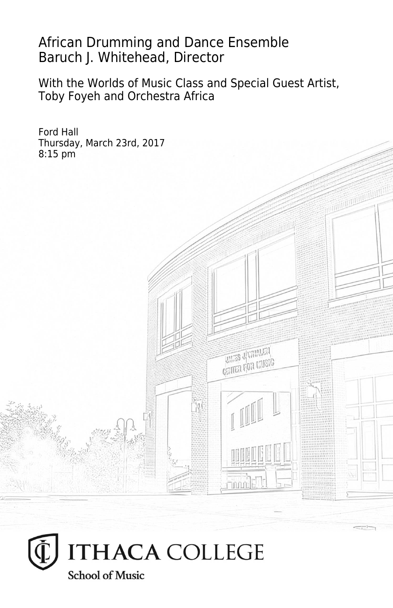## African Drumming and Dance Ensemble Baruch J. Whitehead, Director

With the Worlds of Music Class and Special Guest Artist, Toby Foyeh and Orchestra Africa



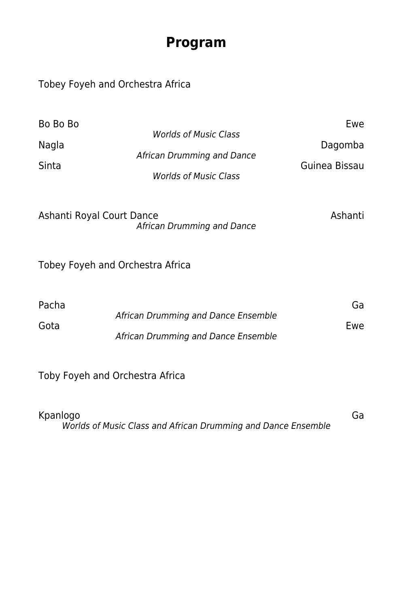# **Program**

### Tobey Foyeh and Orchestra Africa

| Bo Bo Bo<br>Nagla<br>Sinta | <b>Worlds of Music Class</b><br>African Drumming and Dance<br><b>Worlds of Music Class</b> | Ewe<br>Dagomba<br>Guinea Bissau |
|----------------------------|--------------------------------------------------------------------------------------------|---------------------------------|
| Ashanti Royal Court Dance  | African Drumming and Dance                                                                 | Ashanti                         |
|                            | Tobey Foyeh and Orchestra Africa                                                           |                                 |
| Pacha<br>Gota              | African Drumming and Dance Ensemble<br>African Drumming and Dance Ensemble                 | Ga<br>Ewe                       |
|                            | Toby Foyeh and Orchestra Africa                                                            |                                 |

| Kpanlogo                                                      | Ga |
|---------------------------------------------------------------|----|
| Worlds of Music Class and African Drumming and Dance Ensemble |    |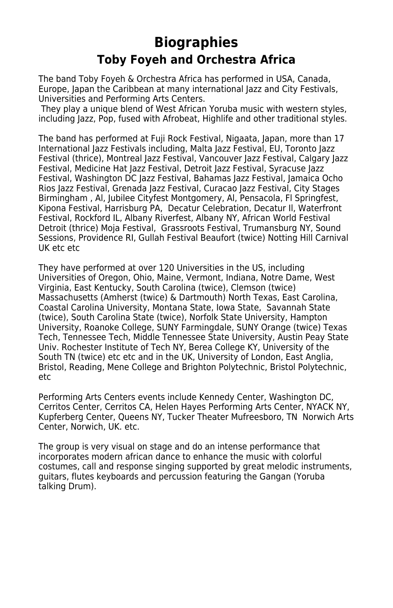# **Biographies Toby Foyeh and Orchestra Africa**

The band Toby Foyeh & Orchestra Africa has performed in USA, Canada, Europe, Japan the Caribbean at many international Jazz and City Festivals, Universities and Performing Arts Centers.

 They play a unique blend of West African Yoruba music with western styles, including Jazz, Pop, fused with Afrobeat, Highlife and other traditional styles.

The band has performed at Fuji Rock Festival, Nigaata, Japan, more than 17 International Jazz Festivals including, Malta Jazz Festival, EU, Toronto Jazz Festival (thrice), Montreal Jazz Festival, Vancouver Jazz Festival, Calgary Jazz Festival, Medicine Hat Jazz Festival, Detroit Jazz Festival, Syracuse Jazz Festival, Washington DC Jazz Festival, Bahamas Jazz Festival, Jamaica Ocho Rios Jazz Festival, Grenada Jazz Festival, Curacao Jazz Festival, City Stages Birmingham , Al, Jubilee Cityfest Montgomery, Al, Pensacola, Fl Springfest, Kipona Festival, Harrisburg PA, Decatur Celebration, Decatur Il, Waterfront Festival, Rockford IL, Albany Riverfest, Albany NY, African World Festival Detroit (thrice) Moja Festival, Grassroots Festival, Trumansburg NY, Sound Sessions, Providence RI, Gullah Festival Beaufort (twice) Notting Hill Carnival UK etc etc

They have performed at over 120 Universities in the US, including Universities of Oregon, Ohio, Maine, Vermont, Indiana, Notre Dame, West Virginia, East Kentucky, South Carolina (twice), Clemson (twice) Massachusetts (Amherst (twice) & Dartmouth) North Texas, East Carolina, Coastal Carolina University, Montana State, Iowa State, Savannah State (twice), South Carolina State (twice), Norfolk State University, Hampton University, Roanoke College, SUNY Farmingdale, SUNY Orange (twice) Texas Tech, Tennessee Tech, Middle Tennessee State University, Austin Peay State Univ. Rochester Institute of Tech NY, Berea College KY, University of the South TN (twice) etc etc and in the UK, University of London, East Anglia, Bristol, Reading, Mene College and Brighton Polytechnic, Bristol Polytechnic, etc

Performing Arts Centers events include Kennedy Center, Washington DC, Cerritos Center, Cerritos CA, Helen Hayes Performing Arts Center, NYACK NY, Kupferberg Center, Queens NY, Tucker Theater Mufreesboro, TN Norwich Arts Center, Norwich, UK. etc.

The group is very visual on stage and do an intense performance that incorporates modern african dance to enhance the music with colorful costumes, call and response singing supported by great melodic instruments, guitars, flutes keyboards and percussion featuring the Gangan (Yoruba talking Drum).